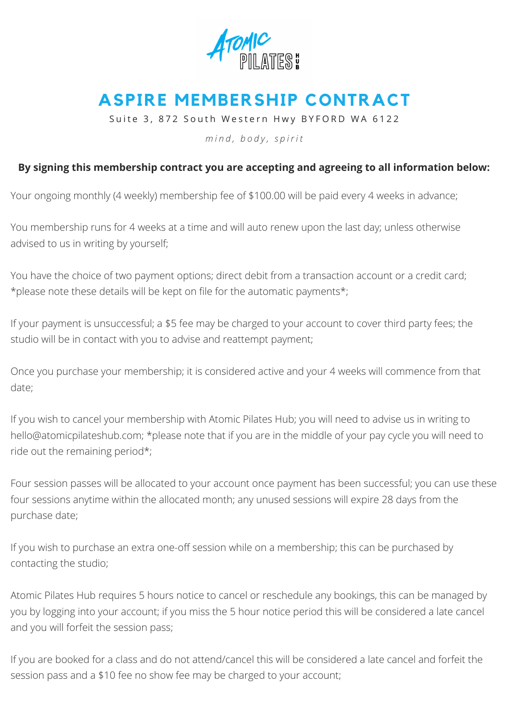

## **ASPIRE MEMBERSHIP CONTRACT**

Suite 3, 872 South Western Hwy BYFORD WA 6122

*m i n d , b o d y , s p i r i t*

## **By signing this membership contract you are accepting and agreeing to all information below:**

Your ongoing monthly (4 weekly) membership fee of \$100.00 will be paid every 4 weeks in advance;

You membership runs for 4 weeks at a time and will auto renew upon the last day; unless otherwise advised to us in writing by yourself;

You have the choice of two payment options; direct debit from a transaction account or a credit card; \*please note these details will be kept on file for the automatic payments\*;

If your payment is unsuccessful; a \$5 fee may be charged to your account to cover third party fees; the studio will be in contact with you to advise and reattempt payment;

Once you purchase your membership; it is considered active and your 4 weeks will commence from that date;

If you wish to cancel your membership with Atomic Pilates Hub; you will need to advise us in writing to [hello@atomicpilateshub.com;](mailto:hello@atomicpilates.com.au) \*please note that if you are in the middle of your pay cycle you will need to ride out the remaining period\*;

Four session passes will be allocated to your account once payment has been successful; you can use these four sessions anytime within the allocated month; any unused sessions will expire 28 days from the purchase date;

If you wish to purchase an extra one-off session while on a membership; this can be purchased by contacting the studio;

Atomic Pilates Hub requires 5 hours notice to cancel or reschedule any bookings, this can be managed by you by logging into your account; if you miss the 5 hour notice period this will be considered a late cancel and you will forfeit the session pass;

If you are booked for a class and do not attend/cancel this will be considered a late cancel and forfeit the session pass and a \$10 fee no show fee may be charged to your account;